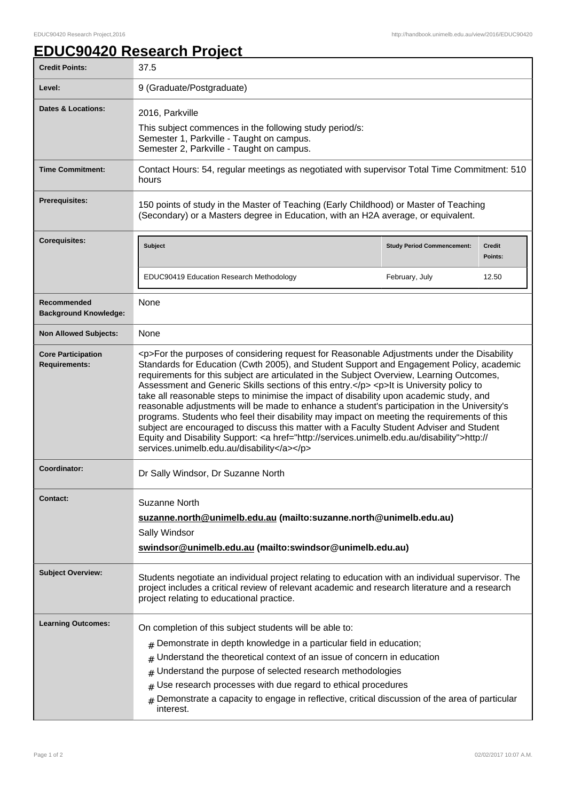٦

## **EDUC90420 Research Project**

| <b>Credit Points:</b>                             | 37.5                                                                                                                                                                                                                                                                                                                                                                                                                                                                                                                                                                                                                                                                                                                                                                                                                                                                                                                         |                                   |                          |
|---------------------------------------------------|------------------------------------------------------------------------------------------------------------------------------------------------------------------------------------------------------------------------------------------------------------------------------------------------------------------------------------------------------------------------------------------------------------------------------------------------------------------------------------------------------------------------------------------------------------------------------------------------------------------------------------------------------------------------------------------------------------------------------------------------------------------------------------------------------------------------------------------------------------------------------------------------------------------------------|-----------------------------------|--------------------------|
| Level:                                            | 9 (Graduate/Postgraduate)                                                                                                                                                                                                                                                                                                                                                                                                                                                                                                                                                                                                                                                                                                                                                                                                                                                                                                    |                                   |                          |
| <b>Dates &amp; Locations:</b>                     | 2016, Parkville<br>This subject commences in the following study period/s:<br>Semester 1, Parkville - Taught on campus.<br>Semester 2, Parkville - Taught on campus.                                                                                                                                                                                                                                                                                                                                                                                                                                                                                                                                                                                                                                                                                                                                                         |                                   |                          |
| <b>Time Commitment:</b>                           | Contact Hours: 54, regular meetings as negotiated with supervisor Total Time Commitment: 510<br>hours                                                                                                                                                                                                                                                                                                                                                                                                                                                                                                                                                                                                                                                                                                                                                                                                                        |                                   |                          |
| <b>Prerequisites:</b>                             | 150 points of study in the Master of Teaching (Early Childhood) or Master of Teaching<br>(Secondary) or a Masters degree in Education, with an H2A average, or equivalent.                                                                                                                                                                                                                                                                                                                                                                                                                                                                                                                                                                                                                                                                                                                                                   |                                   |                          |
| <b>Corequisites:</b>                              | <b>Subject</b>                                                                                                                                                                                                                                                                                                                                                                                                                                                                                                                                                                                                                                                                                                                                                                                                                                                                                                               | <b>Study Period Commencement:</b> | <b>Credit</b><br>Points: |
|                                                   | EDUC90419 Education Research Methodology                                                                                                                                                                                                                                                                                                                                                                                                                                                                                                                                                                                                                                                                                                                                                                                                                                                                                     | February, July                    | 12.50                    |
| Recommended<br><b>Background Knowledge:</b>       | None                                                                                                                                                                                                                                                                                                                                                                                                                                                                                                                                                                                                                                                                                                                                                                                                                                                                                                                         |                                   |                          |
| <b>Non Allowed Subjects:</b>                      | None                                                                                                                                                                                                                                                                                                                                                                                                                                                                                                                                                                                                                                                                                                                                                                                                                                                                                                                         |                                   |                          |
| <b>Core Participation</b><br><b>Requirements:</b> | <p>For the purposes of considering request for Reasonable Adjustments under the Disability<br/>Standards for Education (Cwth 2005), and Student Support and Engagement Policy, academic<br/>requirements for this subject are articulated in the Subject Overview, Learning Outcomes,<br/>Assessment and Generic Skills sections of this entry.</p> <p>It is University policy to<br/>take all reasonable steps to minimise the impact of disability upon academic study, and<br/>reasonable adjustments will be made to enhance a student's participation in the University's<br/>programs. Students who feel their disability may impact on meeting the requirements of this<br/>subject are encouraged to discuss this matter with a Faculty Student Adviser and Student<br/>Equity and Disability Support: &lt; a href="http://services.unimelb.edu.au/disability"&gt;http://<br/>services.unimelb.edu.au/disability</p> |                                   |                          |
| Coordinator:                                      | Dr Sally Windsor, Dr Suzanne North                                                                                                                                                                                                                                                                                                                                                                                                                                                                                                                                                                                                                                                                                                                                                                                                                                                                                           |                                   |                          |
| <b>Contact:</b>                                   | Suzanne North<br>suzanne.north@unimelb.edu.au (mailto:suzanne.north@unimelb.edu.au)<br>Sally Windsor<br>swindsor@unimelb.edu.au (mailto:swindsor@unimelb.edu.au)                                                                                                                                                                                                                                                                                                                                                                                                                                                                                                                                                                                                                                                                                                                                                             |                                   |                          |
| <b>Subject Overview:</b>                          | Students negotiate an individual project relating to education with an individual supervisor. The<br>project includes a critical review of relevant academic and research literature and a research<br>project relating to educational practice.                                                                                                                                                                                                                                                                                                                                                                                                                                                                                                                                                                                                                                                                             |                                   |                          |
| <b>Learning Outcomes:</b>                         | On completion of this subject students will be able to:<br>Demonstrate in depth knowledge in a particular field in education;<br>#<br>Understand the theoretical context of an issue of concern in education<br>#<br>Understand the purpose of selected research methodologies<br>#<br>Use research processes with due regard to ethical procedures<br>#<br>Demonstrate a capacity to engage in reflective, critical discussion of the area of particular<br>$\#$<br>interest.                                                                                                                                                                                                                                                                                                                                                                                                                                               |                                   |                          |